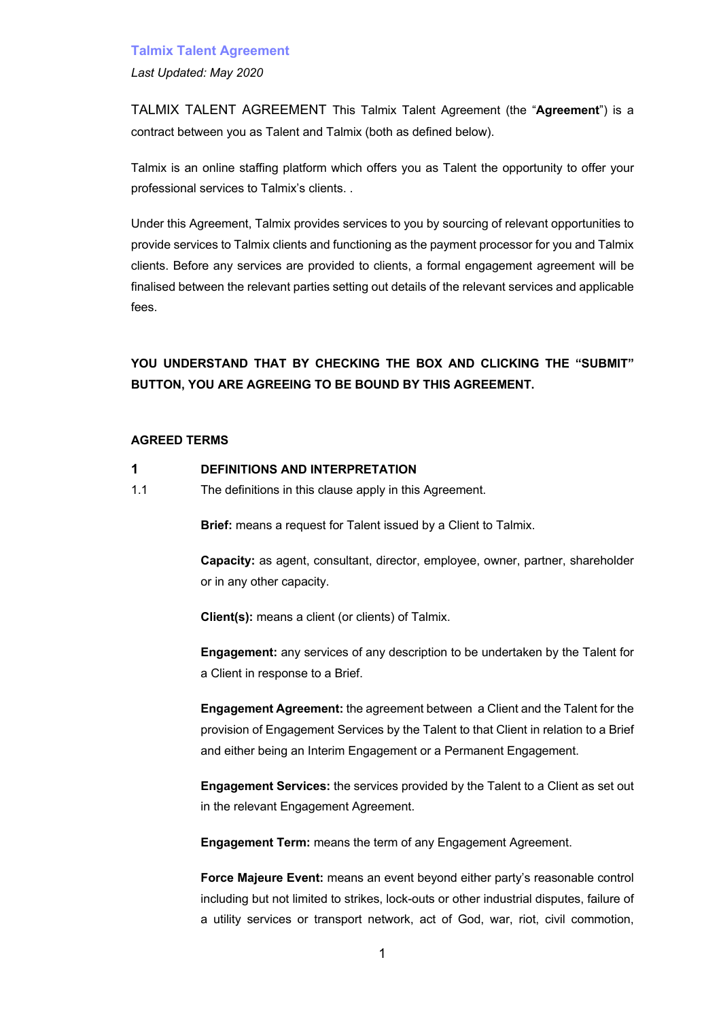*Last Updated: May 2020*

TALMIX TALENT AGREEMENT This Talmix Talent Agreement (the "**Agreement**") is a contract between you as Talent and Talmix (both as defined below).

Talmix is an online staffing platform which offers you as Talent the opportunity to offer your professional services to Talmix's clients. .

Under this Agreement, Talmix provides services to you by sourcing of relevant opportunities to provide services to Talmix clients and functioning as the payment processor for you and Talmix clients. Before any services are provided to clients, a formal engagement agreement will be finalised between the relevant parties setting out details of the relevant services and applicable fees.

**YOU UNDERSTAND THAT BY CHECKING THE BOX AND CLICKING THE "SUBMIT" BUTTON, YOU ARE AGREEING TO BE BOUND BY THIS AGREEMENT.** 

#### **AGREED TERMS**

- **1 DEFINITIONS AND INTERPRETATION**
- 1.1 The definitions in this clause apply in this Agreement.

**Brief:** means a request for Talent issued by a Client to Talmix.

**Capacity:** as agent, consultant, director, employee, owner, partner, shareholder or in any other capacity.

**Client(s):** means a client (or clients) of Talmix.

**Engagement:** any services of any description to be undertaken by the Talent for a Client in response to a Brief.

**Engagement Agreement:** the agreement between a Client and the Talent for the provision of Engagement Services by the Talent to that Client in relation to a Brief and either being an Interim Engagement or a Permanent Engagement.

**Engagement Services:** the services provided by the Talent to a Client as set out in the relevant Engagement Agreement.

**Engagement Term:** means the term of any Engagement Agreement.

**Force Majeure Event:** means an event beyond either party's reasonable control including but not limited to strikes, lock-outs or other industrial disputes, failure of a utility services or transport network, act of God, war, riot, civil commotion,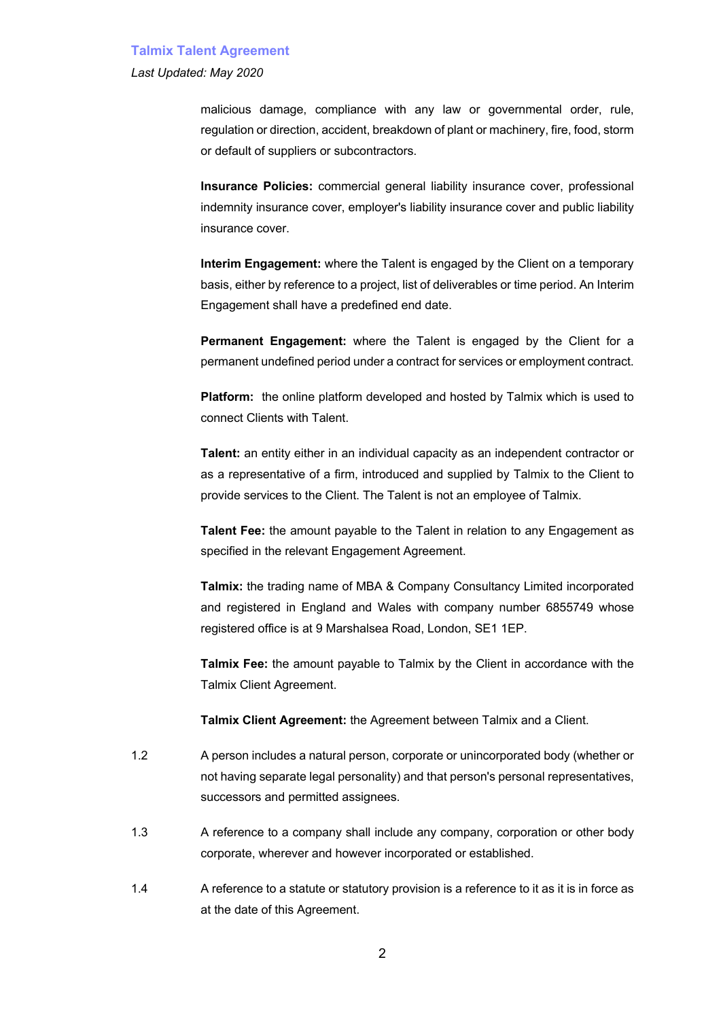#### *Last Updated: May 2020*

malicious damage, compliance with any law or governmental order, rule, regulation or direction, accident, breakdown of plant or machinery, fire, food, storm or default of suppliers or subcontractors.

**Insurance Policies:** commercial general liability insurance cover, professional indemnity insurance cover, employer's liability insurance cover and public liability insurance cover.

**Interim Engagement:** where the Talent is engaged by the Client on a temporary basis, either by reference to a project, list of deliverables or time period. An Interim Engagement shall have a predefined end date.

**Permanent Engagement:** where the Talent is engaged by the Client for a permanent undefined period under a contract for services or employment contract.

**Platform:** the online platform developed and hosted by Talmix which is used to connect Clients with Talent.

**Talent:** an entity either in an individual capacity as an independent contractor or as a representative of a firm, introduced and supplied by Talmix to the Client to provide services to the Client. The Talent is not an employee of Talmix.

**Talent Fee:** the amount payable to the Talent in relation to any Engagement as specified in the relevant Engagement Agreement.

**Talmix:** the trading name of MBA & Company Consultancy Limited incorporated and registered in England and Wales with company number 6855749 whose registered office is at 9 Marshalsea Road, London, SE1 1EP.

**Talmix Fee:** the amount payable to Talmix by the Client in accordance with the Talmix Client Agreement.

**Talmix Client Agreement:** the Agreement between Talmix and a Client.

- 1.2 A person includes a natural person, corporate or unincorporated body (whether or not having separate legal personality) and that person's personal representatives, successors and permitted assignees.
- 1.3 A reference to a company shall include any company, corporation or other body corporate, wherever and however incorporated or established.
- 1.4 A reference to a statute or statutory provision is a reference to it as it is in force as at the date of this Agreement.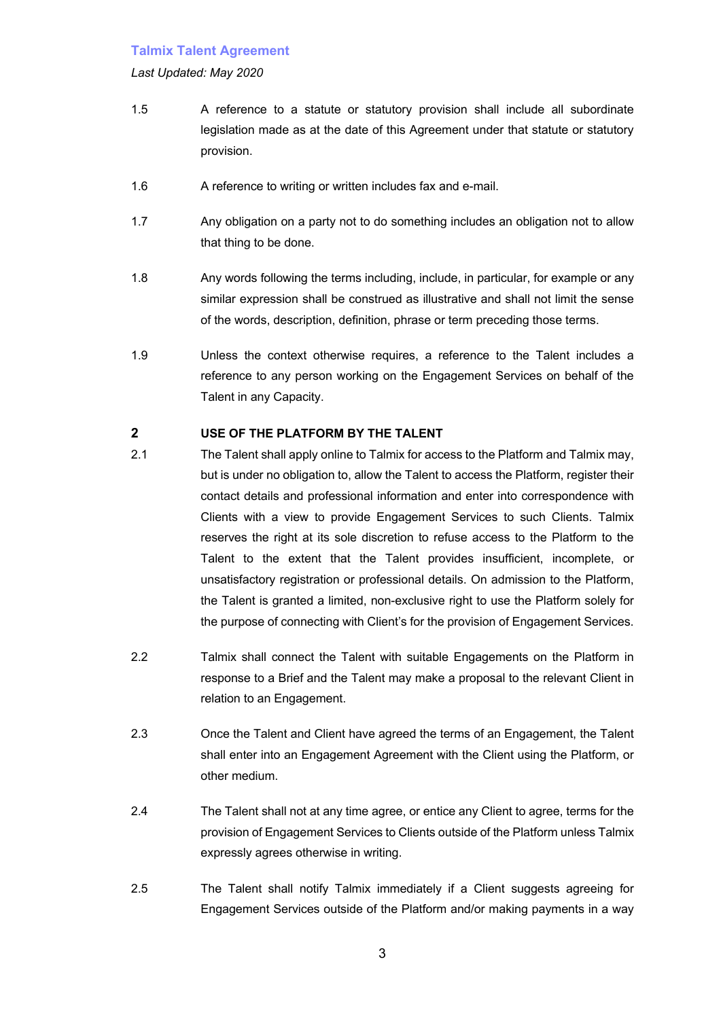#### *Last Updated: May 2020*

- 1.5 A reference to a statute or statutory provision shall include all subordinate legislation made as at the date of this Agreement under that statute or statutory provision.
- 1.6 A reference to writing or written includes fax and e-mail.
- 1.7 Any obligation on a party not to do something includes an obligation not to allow that thing to be done.
- 1.8 Any words following the terms including, include, in particular, for example or any similar expression shall be construed as illustrative and shall not limit the sense of the words, description, definition, phrase or term preceding those terms.
- 1.9 Unless the context otherwise requires, a reference to the Talent includes a reference to any person working on the Engagement Services on behalf of the Talent in any Capacity.

#### **2 USE OF THE PLATFORM BY THE TALENT**

- 2.1 The Talent shall apply online to Talmix for access to the Platform and Talmix may, but is under no obligation to, allow the Talent to access the Platform, register their contact details and professional information and enter into correspondence with Clients with a view to provide Engagement Services to such Clients. Talmix reserves the right at its sole discretion to refuse access to the Platform to the Talent to the extent that the Talent provides insufficient, incomplete, or unsatisfactory registration or professional details. On admission to the Platform, the Talent is granted a limited, non-exclusive right to use the Platform solely for the purpose of connecting with Client's for the provision of Engagement Services.
- 2.2 Talmix shall connect the Talent with suitable Engagements on the Platform in response to a Brief and the Talent may make a proposal to the relevant Client in relation to an Engagement.
- 2.3 Once the Talent and Client have agreed the terms of an Engagement, the Talent shall enter into an Engagement Agreement with the Client using the Platform, or other medium.
- 2.4 The Talent shall not at any time agree, or entice any Client to agree, terms for the provision of Engagement Services to Clients outside of the Platform unless Talmix expressly agrees otherwise in writing.
- 2.5 The Talent shall notify Talmix immediately if a Client suggests agreeing for Engagement Services outside of the Platform and/or making payments in a way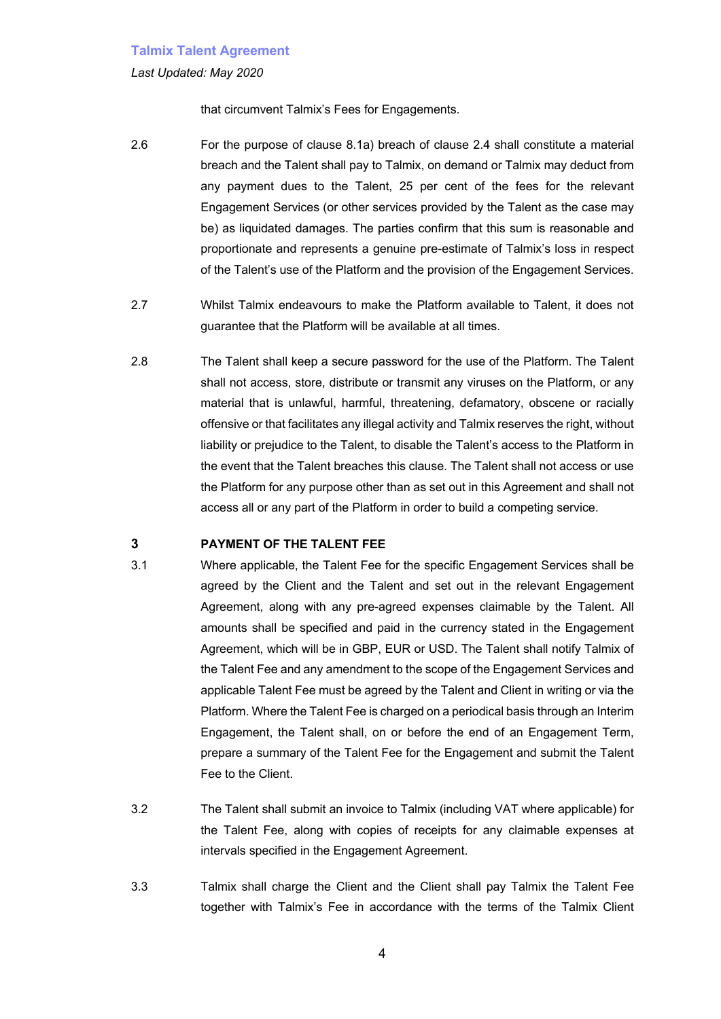#### *Last Updated: May 2020*

that circumvent Talmix's Fees for Engagements.

- 2.6 For the purpose of clause 8.1a) breach of clause 2.4 shall constitute a material breach and the Talent shall pay to Talmix, on demand or Talmix may deduct from any payment dues to the Talent, 25 per cent of the fees for the relevant Engagement Services (or other services provided by the Talent as the case may be) as liquidated damages. The parties confirm that this sum is reasonable and proportionate and represents a genuine pre-estimate of Talmix's loss in respect of the Talent's use of the Platform and the provision of the Engagement Services.
- 2.7 Whilst Talmix endeavours to make the Platform available to Talent, it does not guarantee that the Platform will be available at all times.
- 2.8 The Talent shall keep a secure password for the use of the Platform. The Talent shall not access, store, distribute or transmit any viruses on the Platform, or any material that is unlawful, harmful, threatening, defamatory, obscene or racially offensive or that facilitates any illegal activity and Talmix reserves the right, without liability or prejudice to the Talent, to disable the Talent's access to the Platform in the event that the Talent breaches this clause. The Talent shall not access or use the Platform for any purpose other than as set out in this Agreement and shall not access all or any part of the Platform in order to build a competing service.

#### **3 PAYMENT OF THE TALENT FEE**

- 3.1 Where applicable, the Talent Fee for the specific Engagement Services shall be agreed by the Client and the Talent and set out in the relevant Engagement Agreement, along with any pre-agreed expenses claimable by the Talent. All amounts shall be specified and paid in the currency stated in the Engagement Agreement, which will be in GBP, EUR or USD. The Talent shall notify Talmix of the Talent Fee and any amendment to the scope of the Engagement Services and applicable Talent Fee must be agreed by the Talent and Client in writing or via the Platform. Where the Talent Fee is charged on a periodical basis through an Interim Engagement, the Talent shall, on or before the end of an Engagement Term, prepare a summary of the Talent Fee for the Engagement and submit the Talent Fee to the Client.
- 3.2 The Talent shall submit an invoice to Talmix (including VAT where applicable) for the Talent Fee, along with copies of receipts for any claimable expenses at intervals specified in the Engagement Agreement.
- 3.3 Talmix shall charge the Client and the Client shall pay Talmix the Talent Fee together with Talmix's Fee in accordance with the terms of the Talmix Client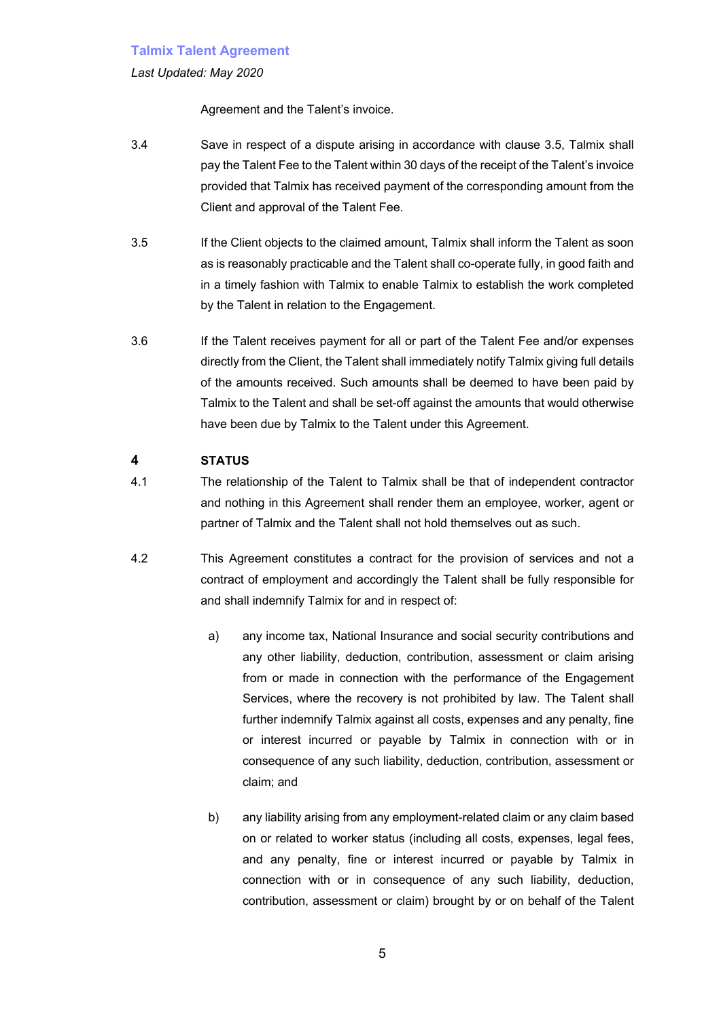#### *Last Updated: May 2020*

Agreement and the Talent's invoice.

- 3.4 Save in respect of a dispute arising in accordance with clause 3.5, Talmix shall pay the Talent Fee to the Talent within 30 days of the receipt of the Talent's invoice provided that Talmix has received payment of the corresponding amount from the Client and approval of the Talent Fee.
- 3.5 If the Client objects to the claimed amount, Talmix shall inform the Talent as soon as is reasonably practicable and the Talent shall co-operate fully, in good faith and in a timely fashion with Talmix to enable Talmix to establish the work completed by the Talent in relation to the Engagement.
- 3.6 If the Talent receives payment for all or part of the Talent Fee and/or expenses directly from the Client, the Talent shall immediately notify Talmix giving full details of the amounts received. Such amounts shall be deemed to have been paid by Talmix to the Talent and shall be set-off against the amounts that would otherwise have been due by Talmix to the Talent under this Agreement.

# **4 STATUS**

- 4.1 The relationship of the Talent to Talmix shall be that of independent contractor and nothing in this Agreement shall render them an employee, worker, agent or partner of Talmix and the Talent shall not hold themselves out as such.
- 4.2 This Agreement constitutes a contract for the provision of services and not a contract of employment and accordingly the Talent shall be fully responsible for and shall indemnify Talmix for and in respect of:
	- a) any income tax, National Insurance and social security contributions and any other liability, deduction, contribution, assessment or claim arising from or made in connection with the performance of the Engagement Services, where the recovery is not prohibited by law. The Talent shall further indemnify Talmix against all costs, expenses and any penalty, fine or interest incurred or payable by Talmix in connection with or in consequence of any such liability, deduction, contribution, assessment or claim; and
	- b) any liability arising from any employment-related claim or any claim based on or related to worker status (including all costs, expenses, legal fees, and any penalty, fine or interest incurred or payable by Talmix in connection with or in consequence of any such liability, deduction, contribution, assessment or claim) brought by or on behalf of the Talent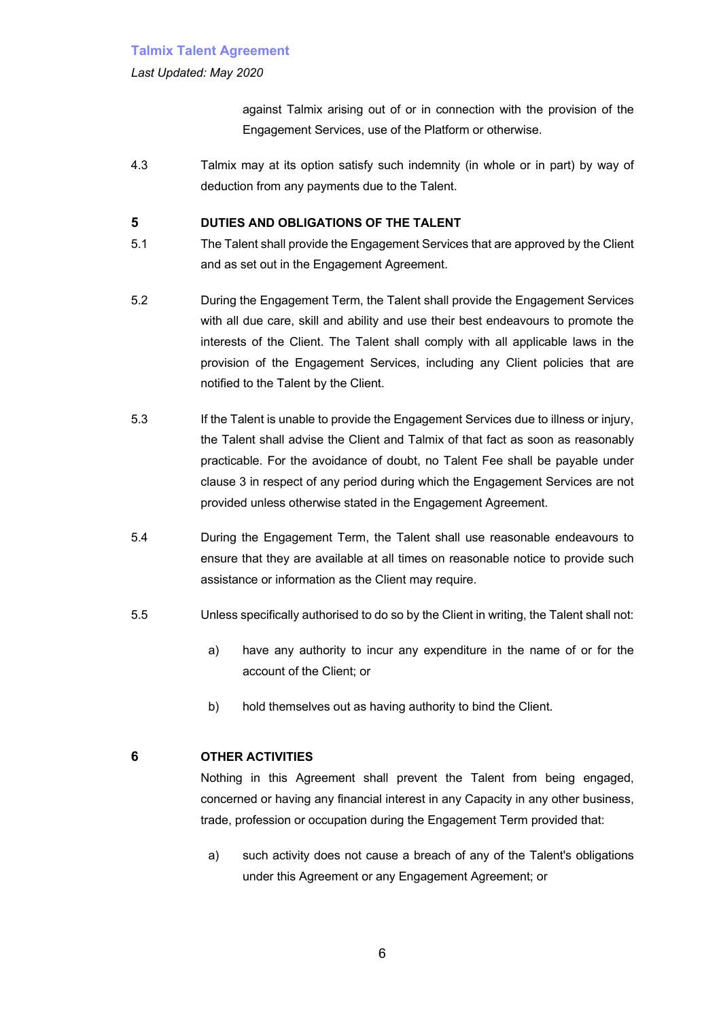#### *Last Updated: May 2020*

against Talmix arising out of or in connection with the provision of the Engagement Services, use of the Platform or otherwise.

4.3 Talmix may at its option satisfy such indemnity (in whole or in part) by way of deduction from any payments due to the Talent.

### **5 DUTIES AND OBLIGATIONS OF THE TALENT**

- 5.1 The Talent shall provide the Engagement Services that are approved by the Client and as set out in the Engagement Agreement.
- 5.2 During the Engagement Term, the Talent shall provide the Engagement Services with all due care, skill and ability and use their best endeavours to promote the interests of the Client. The Talent shall comply with all applicable laws in the provision of the Engagement Services, including any Client policies that are notified to the Talent by the Client.
- 5.3 If the Talent is unable to provide the Engagement Services due to illness or injury, the Talent shall advise the Client and Talmix of that fact as soon as reasonably practicable. For the avoidance of doubt, no Talent Fee shall be payable under clause 3 in respect of any period during which the Engagement Services are not provided unless otherwise stated in the Engagement Agreement.
- 5.4 During the Engagement Term, the Talent shall use reasonable endeavours to ensure that they are available at all times on reasonable notice to provide such assistance or information as the Client may require.
- 5.5 Unless specifically authorised to do so by the Client in writing, the Talent shall not:
	- a) have any authority to incur any expenditure in the name of or for the account of the Client; or
	- b) hold themselves out as having authority to bind the Client.

# **6 OTHER ACTIVITIES**

Nothing in this Agreement shall prevent the Talent from being engaged, concerned or having any financial interest in any Capacity in any other business, trade, profession or occupation during the Engagement Term provided that:

a) such activity does not cause a breach of any of the Talent's obligations under this Agreement or any Engagement Agreement; or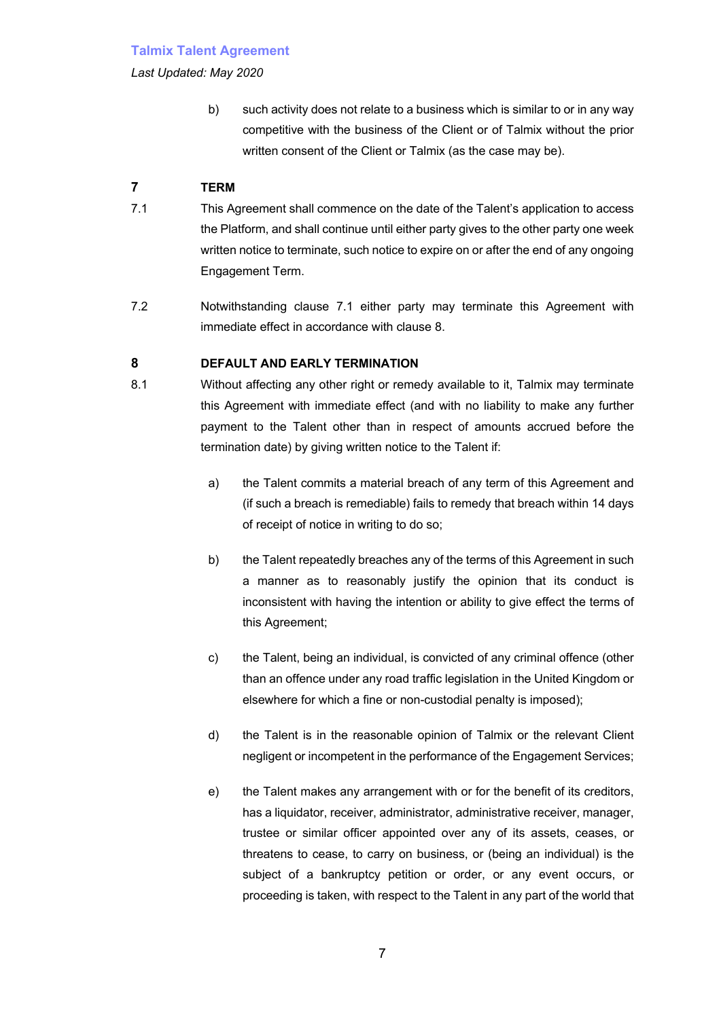*Last Updated: May 2020*

b) such activity does not relate to a business which is similar to or in any way competitive with the business of the Client or of Talmix without the prior written consent of the Client or Talmix (as the case may be).

# **7 TERM**

- 7.1 This Agreement shall commence on the date of the Talent's application to access the Platform, and shall continue until either party gives to the other party one week written notice to terminate, such notice to expire on or after the end of any ongoing Engagement Term.
- 7.2 Notwithstanding clause 7.1 either party may terminate this Agreement with immediate effect in accordance with clause 8.

# **8 DEFAULT AND EARLY TERMINATION**

- 8.1 Without affecting any other right or remedy available to it, Talmix may terminate this Agreement with immediate effect (and with no liability to make any further payment to the Talent other than in respect of amounts accrued before the termination date) by giving written notice to the Talent if:
	- a) the Talent commits a material breach of any term of this Agreement and (if such a breach is remediable) fails to remedy that breach within 14 days of receipt of notice in writing to do so;
	- b) the Talent repeatedly breaches any of the terms of this Agreement in such a manner as to reasonably justify the opinion that its conduct is inconsistent with having the intention or ability to give effect the terms of this Agreement;
	- c) the Talent, being an individual, is convicted of any criminal offence (other than an offence under any road traffic legislation in the United Kingdom or elsewhere for which a fine or non-custodial penalty is imposed);
	- d) the Talent is in the reasonable opinion of Talmix or the relevant Client negligent or incompetent in the performance of the Engagement Services;
	- e) the Talent makes any arrangement with or for the benefit of its creditors, has a liquidator, receiver, administrator, administrative receiver, manager, trustee or similar officer appointed over any of its assets, ceases, or threatens to cease, to carry on business, or (being an individual) is the subject of a bankruptcy petition or order, or any event occurs, or proceeding is taken, with respect to the Talent in any part of the world that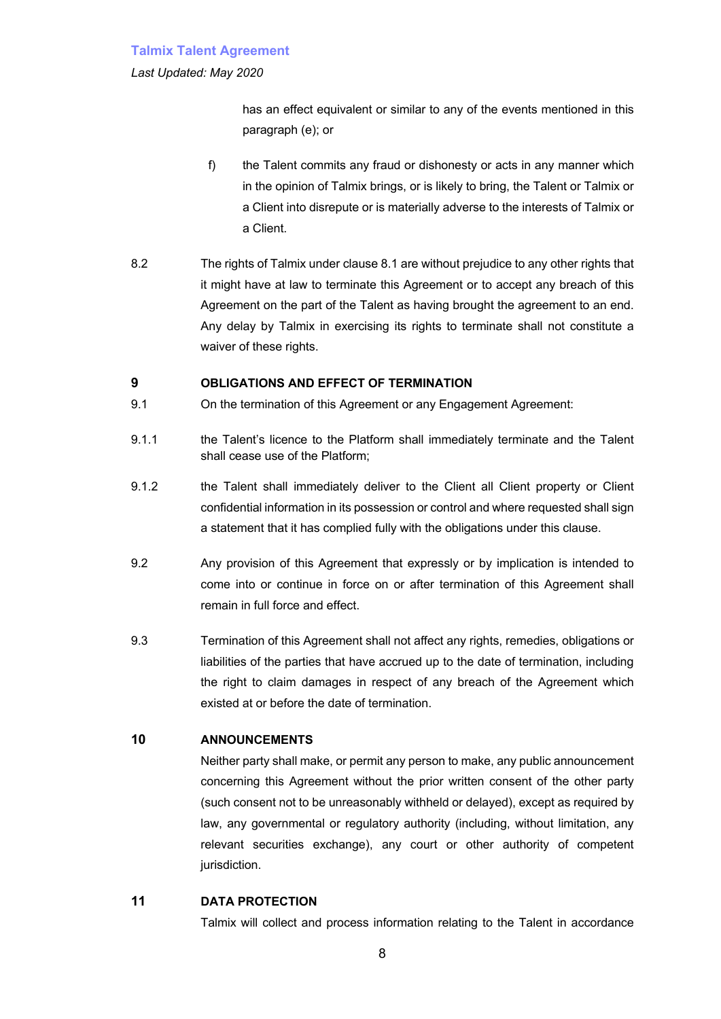#### *Last Updated: May 2020*

has an effect equivalent or similar to any of the events mentioned in this paragraph (e); or

- f) the Talent commits any fraud or dishonesty or acts in any manner which in the opinion of Talmix brings, or is likely to bring, the Talent or Talmix or a Client into disrepute or is materially adverse to the interests of Talmix or a Client.
- 8.2 The rights of Talmix under clause 8.1 are without prejudice to any other rights that it might have at law to terminate this Agreement or to accept any breach of this Agreement on the part of the Talent as having brought the agreement to an end. Any delay by Talmix in exercising its rights to terminate shall not constitute a waiver of these rights.

# **9 OBLIGATIONS AND EFFECT OF TERMINATION**

- 9.1 On the termination of this Agreement or any Engagement Agreement:
- 9.1.1 the Talent's licence to the Platform shall immediately terminate and the Talent shall cease use of the Platform;
- 9.1.2 the Talent shall immediately deliver to the Client all Client property or Client confidential information in its possession or control and where requested shall sign a statement that it has complied fully with the obligations under this clause.
- 9.2 Any provision of this Agreement that expressly or by implication is intended to come into or continue in force on or after termination of this Agreement shall remain in full force and effect.
- 9.3 Termination of this Agreement shall not affect any rights, remedies, obligations or liabilities of the parties that have accrued up to the date of termination, including the right to claim damages in respect of any breach of the Agreement which existed at or before the date of termination.

# **10 ANNOUNCEMENTS**

Neither party shall make, or permit any person to make, any public announcement concerning this Agreement without the prior written consent of the other party (such consent not to be unreasonably withheld or delayed), except as required by law, any governmental or regulatory authority (including, without limitation, any relevant securities exchange), any court or other authority of competent jurisdiction.

### **11 DATA PROTECTION**

Talmix will collect and process information relating to the Talent in accordance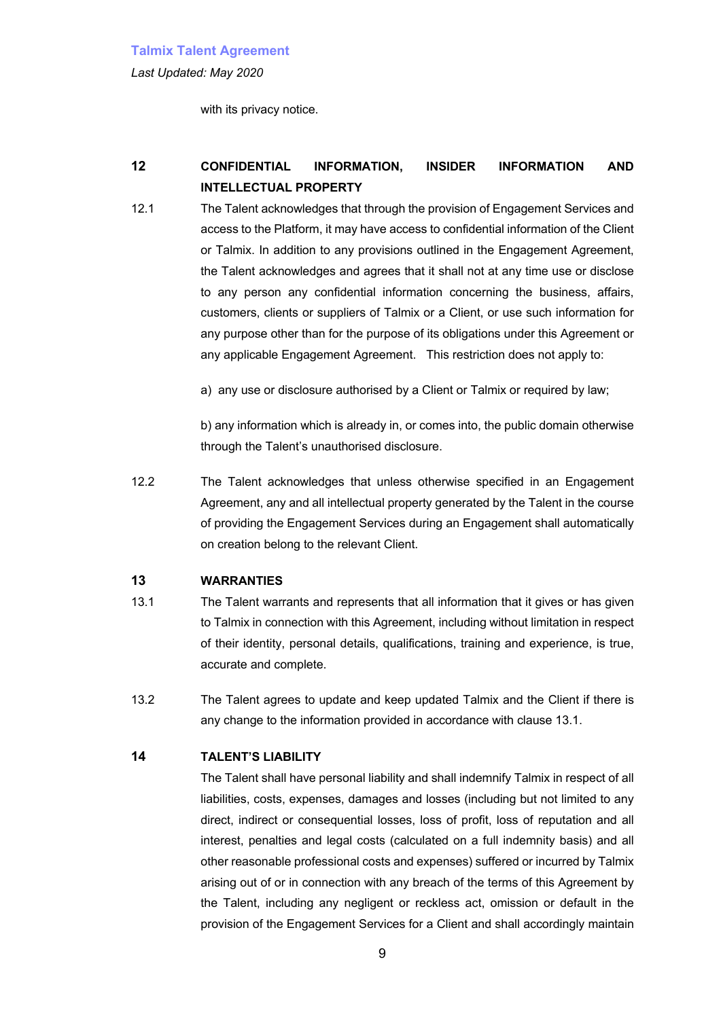*Last Updated: May 2020*

with its privacy notice.

# **12 CONFIDENTIAL INFORMATION, INSIDER INFORMATION AND INTELLECTUAL PROPERTY**

12.1 The Talent acknowledges that through the provision of Engagement Services and access to the Platform, it may have access to confidential information of the Client or Talmix. In addition to any provisions outlined in the Engagement Agreement, the Talent acknowledges and agrees that it shall not at any time use or disclose to any person any confidential information concerning the business, affairs, customers, clients or suppliers of Talmix or a Client, or use such information for any purpose other than for the purpose of its obligations under this Agreement or any applicable Engagement Agreement. This restriction does not apply to:

a) any use or disclosure authorised by a Client or Talmix or required by law;

b) any information which is already in, or comes into, the public domain otherwise through the Talent's unauthorised disclosure.

12.2 The Talent acknowledges that unless otherwise specified in an Engagement Agreement, any and all intellectual property generated by the Talent in the course of providing the Engagement Services during an Engagement shall automatically on creation belong to the relevant Client.

### **13 WARRANTIES**

- 13.1 The Talent warrants and represents that all information that it gives or has given to Talmix in connection with this Agreement, including without limitation in respect of their identity, personal details, qualifications, training and experience, is true, accurate and complete.
- 13.2 The Talent agrees to update and keep updated Talmix and the Client if there is any change to the information provided in accordance with clause 13.1.

### **14 TALENT'S LIABILITY**

The Talent shall have personal liability and shall indemnify Talmix in respect of all liabilities, costs, expenses, damages and losses (including but not limited to any direct, indirect or consequential losses, loss of profit, loss of reputation and all interest, penalties and legal costs (calculated on a full indemnity basis) and all other reasonable professional costs and expenses) suffered or incurred by Talmix arising out of or in connection with any breach of the terms of this Agreement by the Talent, including any negligent or reckless act, omission or default in the provision of the Engagement Services for a Client and shall accordingly maintain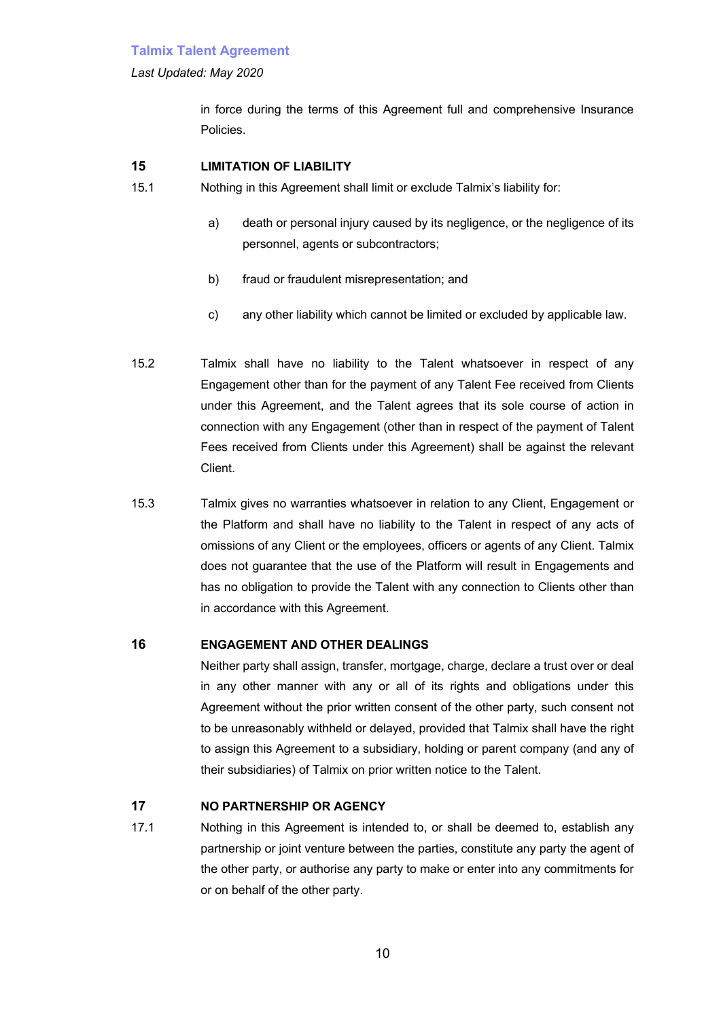#### *Last Updated: May 2020*

in force during the terms of this Agreement full and comprehensive Insurance Policies.

# **15 LIMITATION OF LIABILITY**

- 15.1 Nothing in this Agreement shall limit or exclude Talmix's liability for:
	- a) death or personal injury caused by its negligence, or the negligence of its personnel, agents or subcontractors;
	- b) fraud or fraudulent misrepresentation; and
	- c) any other liability which cannot be limited or excluded by applicable law.
- 15.2 Talmix shall have no liability to the Talent whatsoever in respect of any Engagement other than for the payment of any Talent Fee received from Clients under this Agreement, and the Talent agrees that its sole course of action in connection with any Engagement (other than in respect of the payment of Talent Fees received from Clients under this Agreement) shall be against the relevant Client.
- 15.3 Talmix gives no warranties whatsoever in relation to any Client, Engagement or the Platform and shall have no liability to the Talent in respect of any acts of omissions of any Client or the employees, officers or agents of any Client. Talmix does not guarantee that the use of the Platform will result in Engagements and has no obligation to provide the Talent with any connection to Clients other than in accordance with this Agreement.

# **16 ENGAGEMENT AND OTHER DEALINGS**

Neither party shall assign, transfer, mortgage, charge, declare a trust over or deal in any other manner with any or all of its rights and obligations under this Agreement without the prior written consent of the other party, such consent not to be unreasonably withheld or delayed, provided that Talmix shall have the right to assign this Agreement to a subsidiary, holding or parent company (and any of their subsidiaries) of Talmix on prior written notice to the Talent.

### **17 NO PARTNERSHIP OR AGENCY**

17.1 Nothing in this Agreement is intended to, or shall be deemed to, establish any partnership or joint venture between the parties, constitute any party the agent of the other party, or authorise any party to make or enter into any commitments for or on behalf of the other party.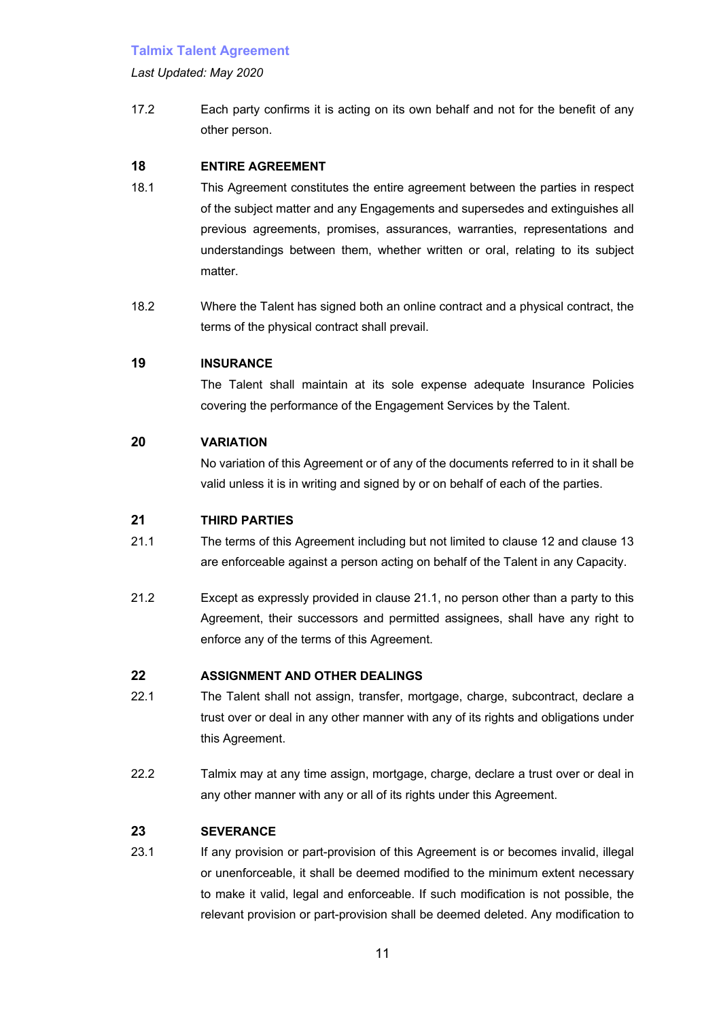#### *Last Updated: May 2020*

17.2 Each party confirms it is acting on its own behalf and not for the benefit of any other person.

# **18 ENTIRE AGREEMENT**

- 18.1 This Agreement constitutes the entire agreement between the parties in respect of the subject matter and any Engagements and supersedes and extinguishes all previous agreements, promises, assurances, warranties, representations and understandings between them, whether written or oral, relating to its subject matter.
- 18.2 Where the Talent has signed both an online contract and a physical contract, the terms of the physical contract shall prevail.

# **19 INSURANCE**

The Talent shall maintain at its sole expense adequate Insurance Policies covering the performance of the Engagement Services by the Talent.

# **20 VARIATION**

No variation of this Agreement or of any of the documents referred to in it shall be valid unless it is in writing and signed by or on behalf of each of the parties.

### **21 THIRD PARTIES**

- 21.1 The terms of this Agreement including but not limited to clause 12 and clause 13 are enforceable against a person acting on behalf of the Talent in any Capacity.
- 21.2 Except as expressly provided in clause 21.1, no person other than a party to this Agreement, their successors and permitted assignees, shall have any right to enforce any of the terms of this Agreement.

# **22 ASSIGNMENT AND OTHER DEALINGS**

- 22.1 The Talent shall not assign, transfer, mortgage, charge, subcontract, declare a trust over or deal in any other manner with any of its rights and obligations under this Agreement.
- 22.2 Talmix may at any time assign, mortgage, charge, declare a trust over or deal in any other manner with any or all of its rights under this Agreement.

# **23 SEVERANCE**

23.1 If any provision or part-provision of this Agreement is or becomes invalid, illegal or unenforceable, it shall be deemed modified to the minimum extent necessary to make it valid, legal and enforceable. If such modification is not possible, the relevant provision or part-provision shall be deemed deleted. Any modification to